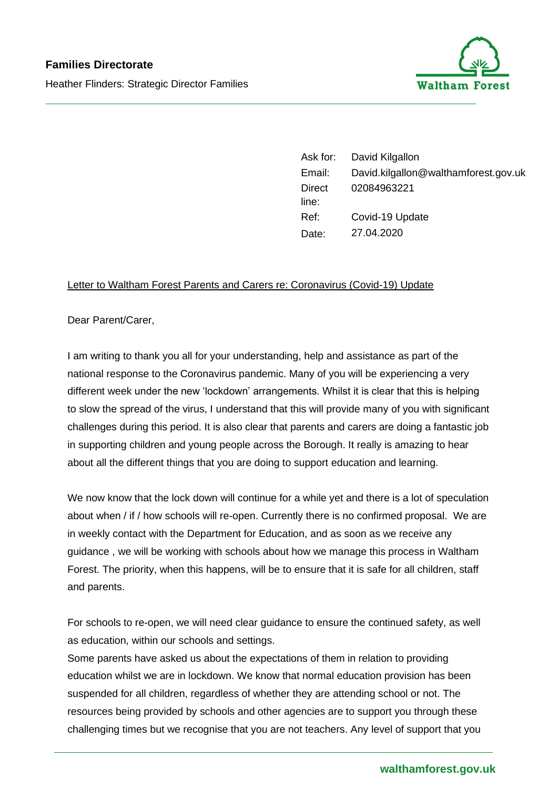

Ask for: David Kilgallon Email: David.kilgallon@walthamforest.gov.uk **Direct** line: 02084963221 Ref: Covid-19 Update Date: 27.04.2020

## Letter to Waltham Forest Parents and Carers re: Coronavirus (Covid-19) Update

Dear Parent/Carer,

I am writing to thank you all for your understanding, help and assistance as part of the national response to the Coronavirus pandemic. Many of you will be experiencing a very different week under the new 'lockdown' arrangements. Whilst it is clear that this is helping to slow the spread of the virus, I understand that this will provide many of you with significant challenges during this period. It is also clear that parents and carers are doing a fantastic job in supporting children and young people across the Borough. It really is amazing to hear about all the different things that you are doing to support education and learning.

We now know that the lock down will continue for a while yet and there is a lot of speculation about when / if / how schools will re-open. Currently there is no confirmed proposal. We are in weekly contact with the Department for Education, and as soon as we receive any guidance , we will be working with schools about how we manage this process in Waltham Forest. The priority, when this happens, will be to ensure that it is safe for all children, staff and parents.

For schools to re-open, we will need clear guidance to ensure the continued safety, as well as education, within our schools and settings.

Some parents have asked us about the expectations of them in relation to providing education whilst we are in lockdown. We know that normal education provision has been suspended for all children, regardless of whether they are attending school or not. The resources being provided by schools and other agencies are to support you through these challenging times but we recognise that you are not teachers. Any level of support that you